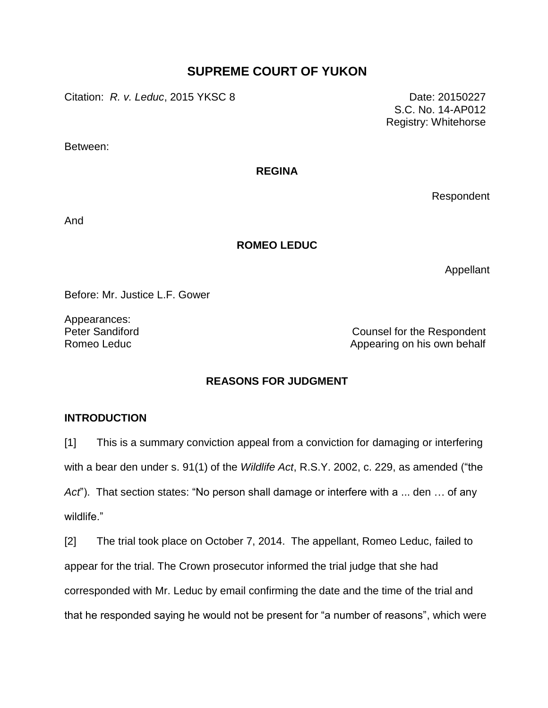# **SUPREME COURT OF YUKON**

Citation: *R. v. Leduc*, 2015 YKSC 8 Date: 20150227

S.C. No. 14-AP012 Registry: Whitehorse

Between:

## **REGINA**

Respondent

And

## **ROMEO LEDUC**

Appellant

Before: Mr. Justice L.F. Gower

Appearances:

Peter Sandiford **Counsel for the Respondent** Romeo Leduc **Appearing on his own behalf** Appearing on his own behalf

# **REASONS FOR JUDGMENT**

# **INTRODUCTION**

[1] This is a summary conviction appeal from a conviction for damaging or interfering with a bear den under s. 91(1) of the *Wildlife Act*, R.S.Y. 2002, c. 229, as amended ("the *Act*"). That section states: "No person shall damage or interfere with a ... den … of any wildlife."

[2] The trial took place on October 7, 2014. The appellant, Romeo Leduc, failed to appear for the trial. The Crown prosecutor informed the trial judge that she had corresponded with Mr. Leduc by email confirming the date and the time of the trial and that he responded saying he would not be present for "a number of reasons", which were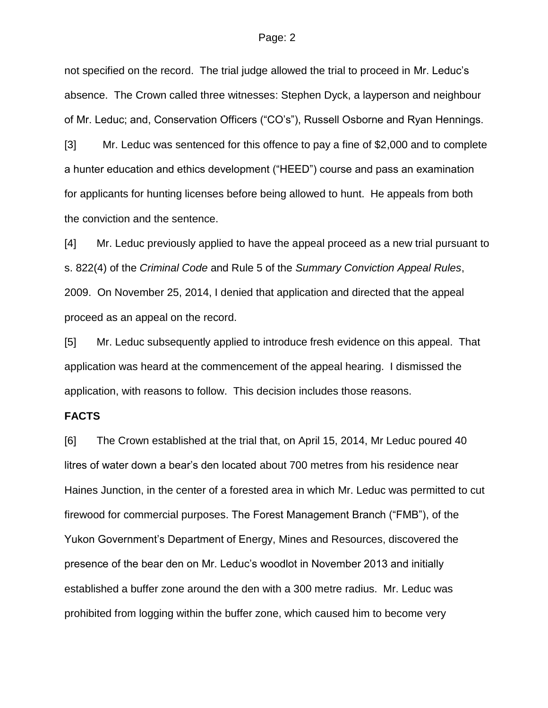not specified on the record. The trial judge allowed the trial to proceed in Mr. Leduc's absence. The Crown called three witnesses: Stephen Dyck, a layperson and neighbour of Mr. Leduc; and, Conservation Officers ("CO's"), Russell Osborne and Ryan Hennings.

[3] Mr. Leduc was sentenced for this offence to pay a fine of \$2,000 and to complete a hunter education and ethics development ("HEED") course and pass an examination for applicants for hunting licenses before being allowed to hunt. He appeals from both the conviction and the sentence.

[4] Mr. Leduc previously applied to have the appeal proceed as a new trial pursuant to s. 822(4) of the *Criminal Code* and Rule 5 of the *Summary Conviction Appeal Rules*, 2009. On November 25, 2014, I denied that application and directed that the appeal proceed as an appeal on the record.

[5] Mr. Leduc subsequently applied to introduce fresh evidence on this appeal. That application was heard at the commencement of the appeal hearing. I dismissed the application, with reasons to follow. This decision includes those reasons.

### **FACTS**

[6] The Crown established at the trial that, on April 15, 2014, Mr Leduc poured 40 litres of water down a bear's den located about 700 metres from his residence near Haines Junction, in the center of a forested area in which Mr. Leduc was permitted to cut firewood for commercial purposes. The Forest Management Branch ("FMB"), of the Yukon Government's Department of Energy, Mines and Resources, discovered the presence of the bear den on Mr. Leduc's woodlot in November 2013 and initially established a buffer zone around the den with a 300 metre radius. Mr. Leduc was prohibited from logging within the buffer zone, which caused him to become very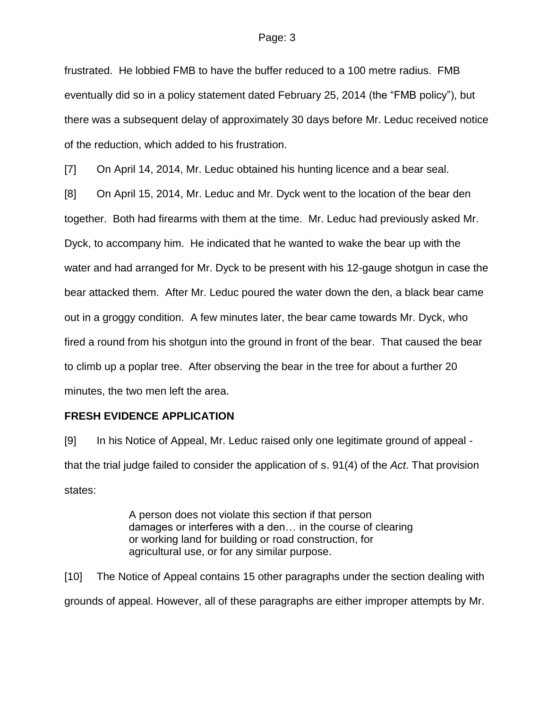frustrated. He lobbied FMB to have the buffer reduced to a 100 metre radius. FMB eventually did so in a policy statement dated February 25, 2014 (the "FMB policy"), but there was a subsequent delay of approximately 30 days before Mr. Leduc received notice of the reduction, which added to his frustration.

[7] On April 14, 2014, Mr. Leduc obtained his hunting licence and a bear seal.

[8] On April 15, 2014, Mr. Leduc and Mr. Dyck went to the location of the bear den together. Both had firearms with them at the time. Mr. Leduc had previously asked Mr. Dyck, to accompany him. He indicated that he wanted to wake the bear up with the water and had arranged for Mr. Dyck to be present with his 12-gauge shotgun in case the bear attacked them. After Mr. Leduc poured the water down the den, a black bear came out in a groggy condition. A few minutes later, the bear came towards Mr. Dyck, who fired a round from his shotgun into the ground in front of the bear. That caused the bear to climb up a poplar tree. After observing the bear in the tree for about a further 20 minutes, the two men left the area.

## **FRESH EVIDENCE APPLICATION**

[9] In his Notice of Appeal, Mr. Leduc raised only one legitimate ground of appeal that the trial judge failed to consider the application of s. 91(4) of the *Act*. That provision states:

> A person does not violate this section if that person damages or interferes with a den… in the course of clearing or working land for building or road construction, for agricultural use, or for any similar purpose.

[10] The Notice of Appeal contains 15 other paragraphs under the section dealing with grounds of appeal. However, all of these paragraphs are either improper attempts by Mr.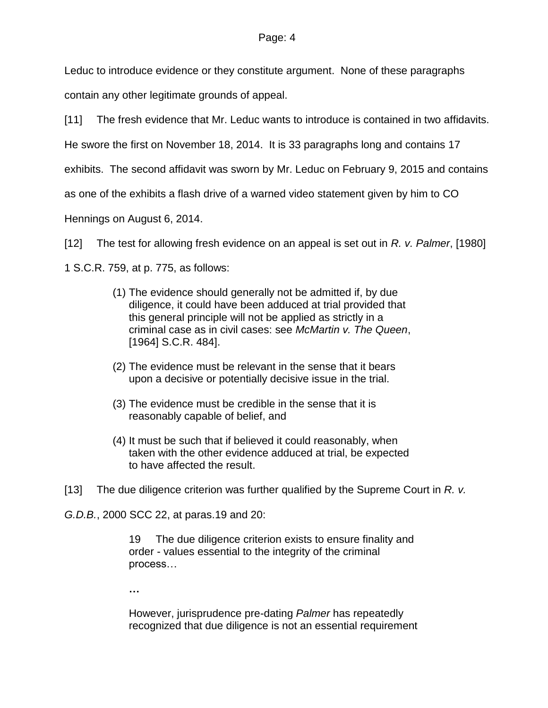Leduc to introduce evidence or they constitute argument. None of these paragraphs

contain any other legitimate grounds of appeal.

[11] The fresh evidence that Mr. Leduc wants to introduce is contained in two affidavits.

He swore the first on November 18, 2014. It is 33 paragraphs long and contains 17

exhibits. The second affidavit was sworn by Mr. Leduc on February 9, 2015 and contains

as one of the exhibits a flash drive of a warned video statement given by him to CO

Hennings on August 6, 2014.

[12] The test for allowing fresh evidence on an appeal is set out in *R. v. Palmer*, [1980]

1 S.C.R. 759, at p. 775, as follows:

- (1) The evidence should generally not be admitted if, by due diligence, it could have been adduced at trial provided that this general principle will not be applied as strictly in a criminal case as in civil cases: see *McMartin v. The Queen*, [\[1964\] S.C.R. 484\]](https://www.lexisnexis.com/ca/legal/search/runRemoteLink.do?A=0.04054379294086974&bct=A&service=citation&risb=21_T21481401769&langcountry=CA&linkInfo=F%23CA%23SCR%23sel1%251964%25page%25484%25year%251964%25).
- (2) The evidence must be relevant in the sense that it bears upon a decisive or potentially decisive issue in the trial.
- (3) The evidence must be credible in the sense that it is reasonably capable of belief, and
- (4) It must be such that if believed it could reasonably, when taken with the other evidence adduced at trial, be expected to have affected the result.

[13] The due diligence criterion was further qualified by the Supreme Court in *R. v.*

*G.D.B.*, 2000 SCC 22, at paras.19 and 20:

19 The due diligence criterion exists to ensure finality and order - values essential to the integrity of the criminal process…

**…**

However, jurisprudence pre-dating *Palmer* has repeatedly recognized that due diligence is not an essential requirement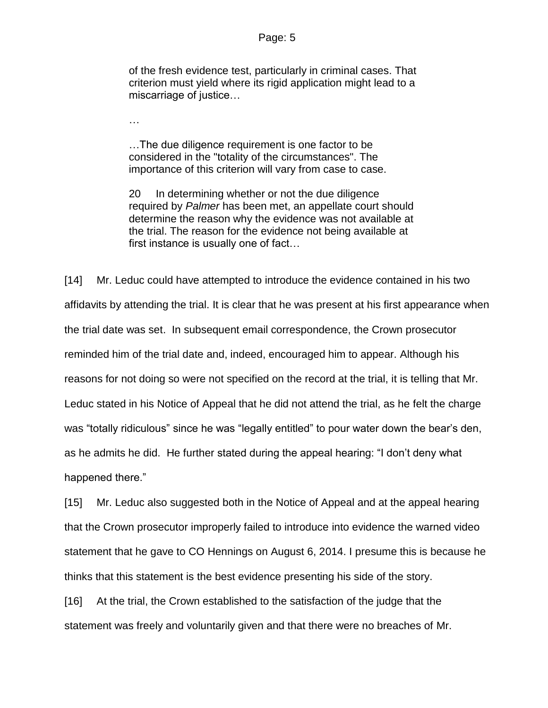of the fresh evidence test, particularly in criminal cases. That criterion must yield where its rigid application might lead to a miscarriage of justice…

…

…The due diligence requirement is one factor to be considered in the "totality of the circumstances". The importance of this criterion will vary from case to case.

20 In determining whether or not the due diligence required by *Palmer* has been met, an appellate court should determine the reason why the evidence was not available at the trial. The reason for the evidence not being available at first instance is usually one of fact…

[14] Mr. Leduc could have attempted to introduce the evidence contained in his two affidavits by attending the trial. It is clear that he was present at his first appearance when the trial date was set. In subsequent email correspondence, the Crown prosecutor reminded him of the trial date and, indeed, encouraged him to appear. Although his reasons for not doing so were not specified on the record at the trial, it is telling that Mr. Leduc stated in his Notice of Appeal that he did not attend the trial, as he felt the charge was "totally ridiculous" since he was "legally entitled" to pour water down the bear's den, as he admits he did. He further stated during the appeal hearing: "I don't deny what happened there."

[15] Mr. Leduc also suggested both in the Notice of Appeal and at the appeal hearing that the Crown prosecutor improperly failed to introduce into evidence the warned video statement that he gave to CO Hennings on August 6, 2014. I presume this is because he thinks that this statement is the best evidence presenting his side of the story.

[16] At the trial, the Crown established to the satisfaction of the judge that the statement was freely and voluntarily given and that there were no breaches of Mr.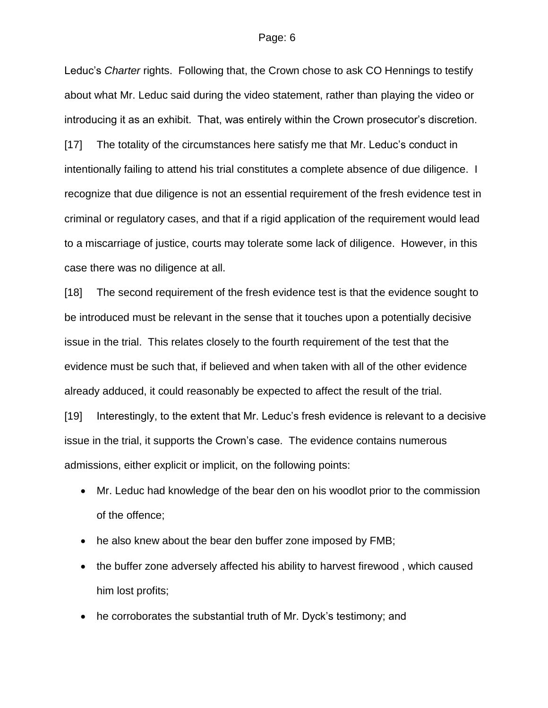Leduc's *Charter* rights. Following that, the Crown chose to ask CO Hennings to testify about what Mr. Leduc said during the video statement, rather than playing the video or introducing it as an exhibit. That, was entirely within the Crown prosecutor's discretion.

[17] The totality of the circumstances here satisfy me that Mr. Leduc's conduct in intentionally failing to attend his trial constitutes a complete absence of due diligence. I recognize that due diligence is not an essential requirement of the fresh evidence test in criminal or regulatory cases, and that if a rigid application of the requirement would lead to a miscarriage of justice, courts may tolerate some lack of diligence. However, in this case there was no diligence at all.

[18] The second requirement of the fresh evidence test is that the evidence sought to be introduced must be relevant in the sense that it touches upon a potentially decisive issue in the trial. This relates closely to the fourth requirement of the test that the evidence must be such that, if believed and when taken with all of the other evidence already adduced, it could reasonably be expected to affect the result of the trial.

[19] Interestingly, to the extent that Mr. Leduc's fresh evidence is relevant to a decisive issue in the trial, it supports the Crown's case. The evidence contains numerous admissions, either explicit or implicit, on the following points:

- Mr. Leduc had knowledge of the bear den on his woodlot prior to the commission of the offence;
- he also knew about the bear den buffer zone imposed by FMB;
- the buffer zone adversely affected his ability to harvest firewood, which caused him lost profits;
- he corroborates the substantial truth of Mr. Dyck's testimony; and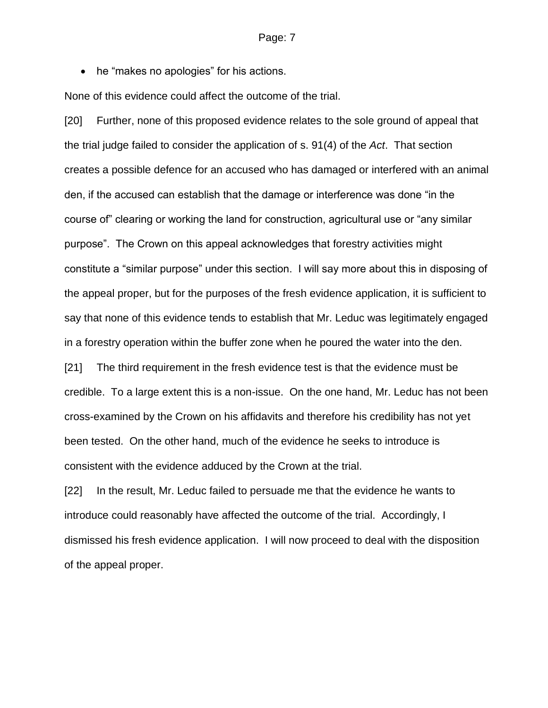• he "makes no apologies" for his actions.

None of this evidence could affect the outcome of the trial.

[20] Further, none of this proposed evidence relates to the sole ground of appeal that the trial judge failed to consider the application of s. 91(4) of the *Act*. That section creates a possible defence for an accused who has damaged or interfered with an animal den, if the accused can establish that the damage or interference was done "in the course of" clearing or working the land for construction, agricultural use or "any similar purpose". The Crown on this appeal acknowledges that forestry activities might constitute a "similar purpose" under this section. I will say more about this in disposing of the appeal proper, but for the purposes of the fresh evidence application, it is sufficient to say that none of this evidence tends to establish that Mr. Leduc was legitimately engaged in a forestry operation within the buffer zone when he poured the water into the den.

[21] The third requirement in the fresh evidence test is that the evidence must be credible. To a large extent this is a non-issue. On the one hand, Mr. Leduc has not been cross-examined by the Crown on his affidavits and therefore his credibility has not yet been tested. On the other hand, much of the evidence he seeks to introduce is consistent with the evidence adduced by the Crown at the trial.

[22] In the result, Mr. Leduc failed to persuade me that the evidence he wants to introduce could reasonably have affected the outcome of the trial. Accordingly, I dismissed his fresh evidence application. I will now proceed to deal with the disposition of the appeal proper.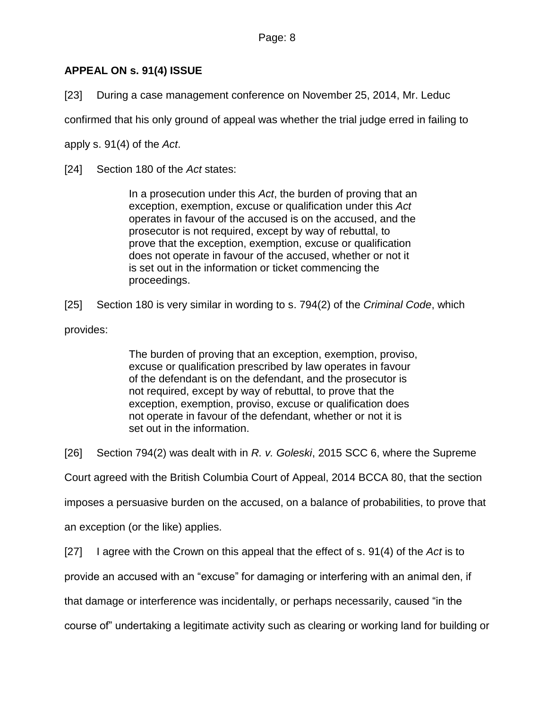# **APPEAL ON s. 91(4) ISSUE**

[23] During a case management conference on November 25, 2014, Mr. Leduc

confirmed that his only ground of appeal was whether the trial judge erred in failing to

apply s. 91(4) of the *Act*.

[24] Section 180 of the *Act* states:

In a prosecution under this *Act*, the burden of proving that an exception, exemption, excuse or qualification under this *Act* operates in favour of the accused is on the accused, and the prosecutor is not required, except by way of rebuttal, to prove that the exception, exemption, excuse or qualification does not operate in favour of the accused, whether or not it is set out in the information or ticket commencing the proceedings.

[25] Section 180 is very similar in wording to s. 794(2) of the *Criminal Code*, which provides:

> The burden of proving that an exception, exemption, proviso, excuse or qualification prescribed by law operates in favour of the defendant is on the defendant, and the prosecutor is not required, except by way of rebuttal, to prove that the exception, exemption, proviso, excuse or qualification does not operate in favour of the defendant, whether or not it is set out in the information.

[26] Section 794(2) was dealt with in *R. v. Goleski*, 2015 SCC 6, where the Supreme

Court agreed with the British Columbia Court of Appeal, 2014 BCCA 80, that the section

imposes a persuasive burden on the accused, on a balance of probabilities, to prove that

an exception (or the like) applies.

[27] I agree with the Crown on this appeal that the effect of s. 91(4) of the *Act* is to

provide an accused with an "excuse" for damaging or interfering with an animal den, if

that damage or interference was incidentally, or perhaps necessarily, caused "in the

course of" undertaking a legitimate activity such as clearing or working land for building or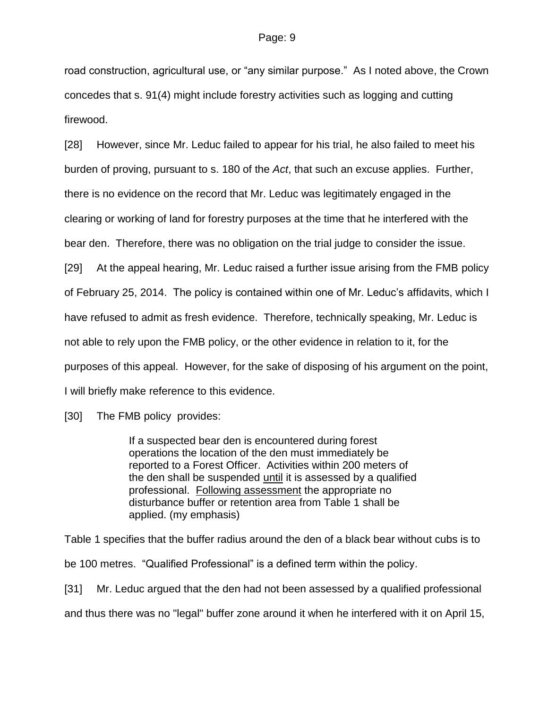road construction, agricultural use, or "any similar purpose." As I noted above, the Crown concedes that s. 91(4) might include forestry activities such as logging and cutting firewood.

[28] However, since Mr. Leduc failed to appear for his trial, he also failed to meet his burden of proving, pursuant to s. 180 of the *Act*, that such an excuse applies. Further, there is no evidence on the record that Mr. Leduc was legitimately engaged in the clearing or working of land for forestry purposes at the time that he interfered with the bear den. Therefore, there was no obligation on the trial judge to consider the issue. [29] At the appeal hearing, Mr. Leduc raised a further issue arising from the FMB policy of February 25, 2014. The policy is contained within one of Mr. Leduc's affidavits, which I have refused to admit as fresh evidence. Therefore, technically speaking, Mr. Leduc is not able to rely upon the FMB policy, or the other evidence in relation to it, for the purposes of this appeal. However, for the sake of disposing of his argument on the point, I will briefly make reference to this evidence.

[30] The FMB policy provides:

If a suspected bear den is encountered during forest operations the location of the den must immediately be reported to a Forest Officer. Activities within 200 meters of the den shall be suspended until it is assessed by a qualified professional. Following assessment the appropriate no disturbance buffer or retention area from Table 1 shall be applied. (my emphasis)

Table 1 specifies that the buffer radius around the den of a black bear without cubs is to be 100 metres. "Qualified Professional" is a defined term within the policy. [31] Mr. Leduc argued that the den had not been assessed by a qualified professional

and thus there was no "legal" buffer zone around it when he interfered with it on April 15,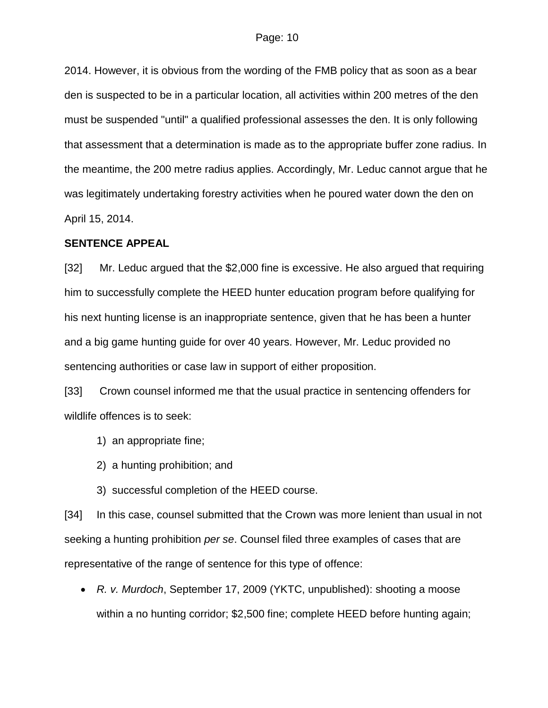2014. However, it is obvious from the wording of the FMB policy that as soon as a bear den is suspected to be in a particular location, all activities within 200 metres of the den must be suspended "until" a qualified professional assesses the den. It is only following that assessment that a determination is made as to the appropriate buffer zone radius. In the meantime, the 200 metre radius applies. Accordingly, Mr. Leduc cannot argue that he was legitimately undertaking forestry activities when he poured water down the den on April 15, 2014.

### **SENTENCE APPEAL**

[32] Mr. Leduc argued that the \$2,000 fine is excessive. He also argued that requiring him to successfully complete the HEED hunter education program before qualifying for his next hunting license is an inappropriate sentence, given that he has been a hunter and a big game hunting guide for over 40 years. However, Mr. Leduc provided no sentencing authorities or case law in support of either proposition.

[33] Crown counsel informed me that the usual practice in sentencing offenders for wildlife offences is to seek:

1) an appropriate fine;

- 2) a hunting prohibition; and
- 3) successful completion of the HEED course.

[34] In this case, counsel submitted that the Crown was more lenient than usual in not seeking a hunting prohibition *per se*. Counsel filed three examples of cases that are representative of the range of sentence for this type of offence:

 *R. v. Murdoch*, September 17, 2009 (YKTC, unpublished): shooting a moose within a no hunting corridor; \$2,500 fine; complete HEED before hunting again;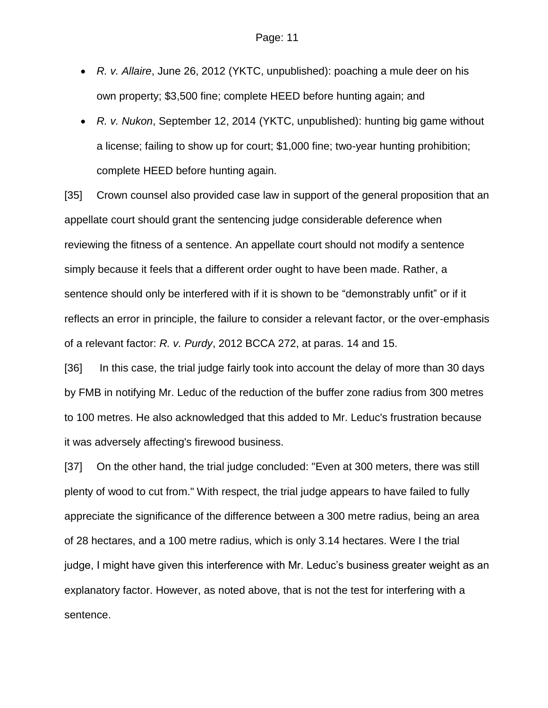- *R. v. Allaire*, June 26, 2012 (YKTC, unpublished): poaching a mule deer on his own property; \$3,500 fine; complete HEED before hunting again; and
- *R. v. Nukon*, September 12, 2014 (YKTC, unpublished): hunting big game without a license; failing to show up for court; \$1,000 fine; two-year hunting prohibition; complete HEED before hunting again.

[35] Crown counsel also provided case law in support of the general proposition that an appellate court should grant the sentencing judge considerable deference when reviewing the fitness of a sentence. An appellate court should not modify a sentence simply because it feels that a different order ought to have been made. Rather, a sentence should only be interfered with if it is shown to be "demonstrably unfit" or if it reflects an error in principle, the failure to consider a relevant factor, or the over-emphasis of a relevant factor: *R. v. Purdy*, 2012 BCCA 272, at paras. 14 and 15.

[36] In this case, the trial judge fairly took into account the delay of more than 30 days by FMB in notifying Mr. Leduc of the reduction of the buffer zone radius from 300 metres to 100 metres. He also acknowledged that this added to Mr. Leduc's frustration because it was adversely affecting's firewood business.

[37] On the other hand, the trial judge concluded: "Even at 300 meters, there was still plenty of wood to cut from." With respect, the trial judge appears to have failed to fully appreciate the significance of the difference between a 300 metre radius, being an area of 28 hectares, and a 100 metre radius, which is only 3.14 hectares. Were I the trial judge, I might have given this interference with Mr. Leduc's business greater weight as an explanatory factor. However, as noted above, that is not the test for interfering with a sentence.